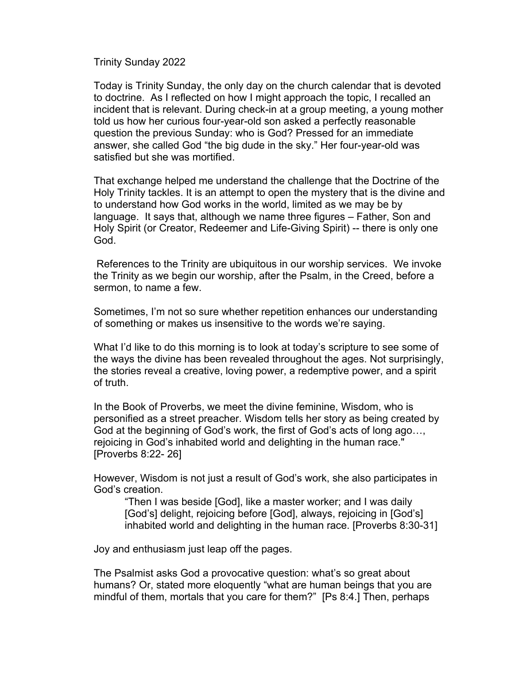Trinity Sunday 2022

Today is Trinity Sunday, the only day on the church calendar that is devoted to doctrine. As I reflected on how I might approach the topic, I recalled an incident that is relevant. During check-in at a group meeting, a young mother told us how her curious four-year-old son asked a perfectly reasonable question the previous Sunday: who is God? Pressed for an immediate answer, she called God "the big dude in the sky." Her four-year-old was satisfied but she was mortified.

That exchange helped me understand the challenge that the Doctrine of the Holy Trinity tackles. It is an attempt to open the mystery that is the divine and to understand how God works in the world, limited as we may be by language. It says that, although we name three figures – Father, Son and Holy Spirit (or Creator, Redeemer and Life-Giving Spirit) -- there is only one God.

References to the Trinity are ubiquitous in our worship services. We invoke the Trinity as we begin our worship, after the Psalm, in the Creed, before a sermon, to name a few.

Sometimes, I'm not so sure whether repetition enhances our understanding of something or makes us insensitive to the words we're saying.

What I'd like to do this morning is to look at today's scripture to see some of the ways the divine has been revealed throughout the ages. Not surprisingly, the stories reveal a creative, loving power, a redemptive power, and a spirit of truth.

In the Book of Proverbs, we meet the divine feminine, Wisdom, who is personified as a street preacher. Wisdom tells her story as being created by God at the beginning of God's work, the first of God's acts of long ago…, rejoicing in God's inhabited world and delighting in the human race." [Proverbs 8:22- 26]

However, Wisdom is not just a result of God's work, she also participates in God's creation.

"Then I was beside [God], like a master worker; and I was daily [God's] delight, rejoicing before [God], always, rejoicing in [God's] inhabited world and delighting in the human race. [Proverbs 8:30-31]

Joy and enthusiasm just leap off the pages.

The Psalmist asks God a provocative question: what's so great about humans? Or, stated more eloquently "what are human beings that you are mindful of them, mortals that you care for them?" [Ps 8:4.] Then, perhaps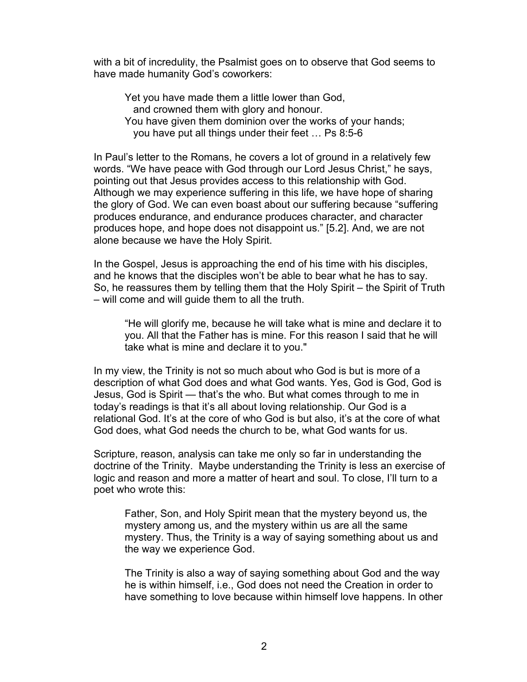with a bit of incredulity, the Psalmist goes on to observe that God seems to have made humanity God's coworkers:

Yet you have made them a little lower than God, and crowned them with glory and honour. You have given them dominion over the works of your hands; you have put all things under their feet … Ps 8:5-6

In Paul's letter to the Romans, he covers a lot of ground in a relatively few words. "We have peace with God through our Lord Jesus Christ," he says, pointing out that Jesus provides access to this relationship with God. Although we may experience suffering in this life, we have hope of sharing the glory of God. We can even boast about our suffering because "suffering produces endurance, and endurance produces character, and character produces hope, and hope does not disappoint us." [5.2]. And, we are not alone because we have the Holy Spirit.

In the Gospel, Jesus is approaching the end of his time with his disciples, and he knows that the disciples won't be able to bear what he has to say. So, he reassures them by telling them that the Holy Spirit – the Spirit of Truth – will come and will guide them to all the truth.

"He will glorify me, because he will take what is mine and declare it to you. All that the Father has is mine. For this reason I said that he will take what is mine and declare it to you."

In my view, the Trinity is not so much about who God is but is more of a description of what God does and what God wants. Yes, God is God, God is Jesus, God is Spirit — that's the who. But what comes through to me in today's readings is that it's all about loving relationship. Our God is a relational God. It's at the core of who God is but also, it's at the core of what God does, what God needs the church to be, what God wants for us.

Scripture, reason, analysis can take me only so far in understanding the doctrine of the Trinity. Maybe understanding the Trinity is less an exercise of logic and reason and more a matter of heart and soul. To close, I'll turn to a poet who wrote this:

Father, Son, and Holy Spirit mean that the mystery beyond us, the mystery among us, and the mystery within us are all the same mystery. Thus, the Trinity is a way of saying something about us and the way we experience God.

The Trinity is also a way of saying something about God and the way he is within himself, i.e., God does not need the Creation in order to have something to love because within himself love happens. In other